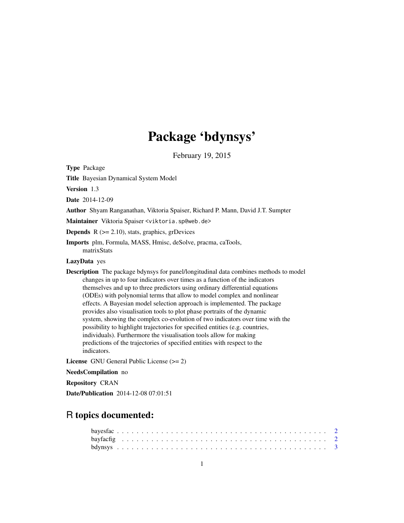## Package 'bdynsys'

February 19, 2015

Type Package

Title Bayesian Dynamical System Model

Version 1.3

Date 2014-12-09

Author Shyam Ranganathan, Viktoria Spaiser, Richard P. Mann, David J.T. Sumpter

Maintainer Viktoria Spaiser <viktoria.sp@web.de>

**Depends**  $R$  ( $>= 2.10$ ), stats, graphics, grDevices

Imports plm, Formula, MASS, Hmisc, deSolve, pracma, caTools, matrixStats

#### LazyData yes

Description The package bdynsys for panel/longitudinal data combines methods to model changes in up to four indicators over times as a function of the indicators themselves and up to three predictors using ordinary differential equations (ODEs) with polynomial terms that allow to model complex and nonlinear effects. A Bayesian model selection approach is implemented. The package provides also visualisation tools to plot phase portraits of the dynamic system, showing the complex co-evolution of two indicators over time with the possibility to highlight trajectories for specified entities (e.g. countries, individuals). Furthermore the visualisation tools allow for making predictions of the trajectories of specified entities with respect to the indicators.

License GNU General Public License (>= 2)

NeedsCompilation no

Repository CRAN

Date/Publication 2014-12-08 07:01:51

### R topics documented: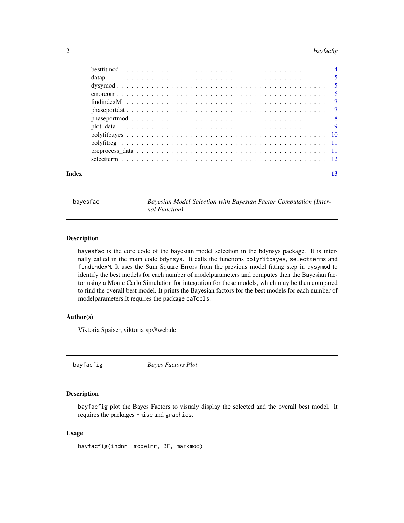#### <span id="page-1-0"></span>2 bayfacfig

| Index |  |
|-------|--|

bayesfac *Bayesian Model Selection with Bayesian Factor Computation (Internal Function)*

#### Description

bayesfac is the core code of the bayesian model selection in the bdynsys package. It is internally called in the main code bdynsys. It calls the functions polyfitbayes, selectterms and findindexM. It uses the Sum Square Errors from the previous model fitting step in dysymod to identify the best models for each number of modelparameters and computes then the Bayesian factor using a Monte Carlo Simulation for integration for these models, which may be then compared to find the overall best model. It prints the Bayesian factors for the best models for each number of modelparameters.It requires the package caTools.

#### Author(s)

Viktoria Spaiser, viktoria.sp@web.de

bayfacfig *Bayes Factors Plot*

#### Description

bayfacfig plot the Bayes Factors to visualy display the selected and the overall best model. It requires the packages Hmisc and graphics.

#### Usage

bayfacfig(indnr, modelnr, BF, markmod)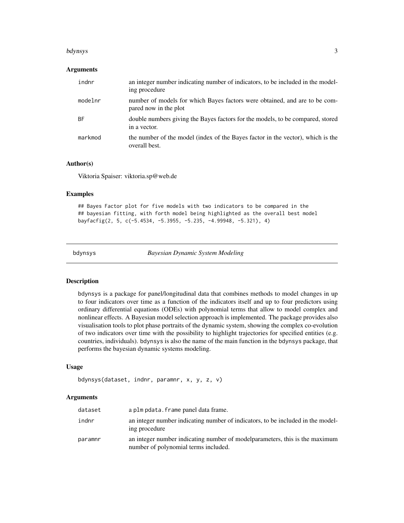#### <span id="page-2-0"></span>bdynsys 3

#### Arguments

| indnr   | an integer number indicating number of indicators, to be included in the model-<br>ing procedure    |
|---------|-----------------------------------------------------------------------------------------------------|
| modelnr | number of models for which Bayes factors were obtained, and are to be com-<br>pared now in the plot |
| BF.     | double numbers giving the Bayes factors for the models, to be compared, stored<br>in a vector.      |
| markmod | the number of the model (index of the Bayes factor in the vector), which is the<br>overall best.    |

#### Author(s)

Viktoria Spaiser: viktoria.sp@web.de

#### Examples

## Bayes Factor plot for five models with two indicators to be compared in the ## bayesian fitting, with forth model being highlighted as the overall best model bayfacfig(2, 5, c(-5.4534, -5.3955, -5.235, -4.99948, -5.321), 4)

bdynsys *Bayesian Dynamic System Modeling*

#### Description

bdynsys is a package for panel/longitudinal data that combines methods to model changes in up to four indicators over time as a function of the indicators itself and up to four predictors using ordinary differential equations (ODEs) with polynomial terms that allow to model complex and nonlinear effects. A Bayesian model selection approach is implemented. The package provides also visualisation tools to plot phase portraits of the dynamic system, showing the complex co-evolution of two indicators over time with the possibility to highlight trajectories for specified entities (e.g. countries, individuals). bdynsys is also the name of the main function in the bdynsys package, that performs the bayesian dynamic systems modeling.

#### Usage

```
bdynsys(dataset, indnr, paramnr, x, y, z, v)
```
#### Arguments

| dataset | a plm pdata. frame panel data frame.                                                                                 |
|---------|----------------------------------------------------------------------------------------------------------------------|
| indnr   | an integer number indicating number of indicators, to be included in the model-<br>ing procedure                     |
| paramnr | an integer number indicating number of model parameters, this is the maximum<br>number of polynomial terms included. |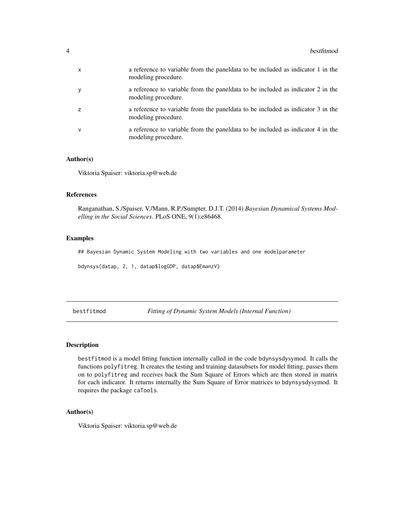<span id="page-3-0"></span>

| $\boldsymbol{\mathsf{x}}$ | a reference to variable from the paneldata to be included as indicator 1 in the<br>modeling procedure.  |
|---------------------------|---------------------------------------------------------------------------------------------------------|
|                           | a reference to variable from the panel data to be included as indicator 2 in the<br>modeling procedure. |
| 7                         | a reference to variable from the panel data to be included as indicator 3 in the<br>modeling procedure. |
| v                         | a reference to variable from the panel data to be included as indicator 4 in the<br>modeling procedure. |

#### Author(s)

Viktoria Spaiser: viktoria.sp@web.de

#### References

Ranganathan, S./Spaiser, V./Mann, R.P./Sumpter, D.J.T. (2014) *Bayesian Dynamical Systems Modelling in the Social Sciences*. PLoS ONE, 9(1):e86468.

#### Examples

## Bayesian Dynamic System Modeling with two variables and one modelparameter

bdynsys(datap, 2, 1, datap\$logGDP, datap\$EmanzV)

bestfitmod *Fitting of Dynamic System Models (Internal Function)*

#### Description

bestfitmod is a model fitting function internally called in the code bdynsysdysymod. It calls the functions polyfitreg. It creates the testing and training datasubsets for model fitting, passes them on to polyfitreg and receives back the Sum Square of Errors which are then stored in matrix for each indicator. It returns internally the Sum Square of Error matrices to bdynsysdysymod. It requires the package caTools.

#### Author(s)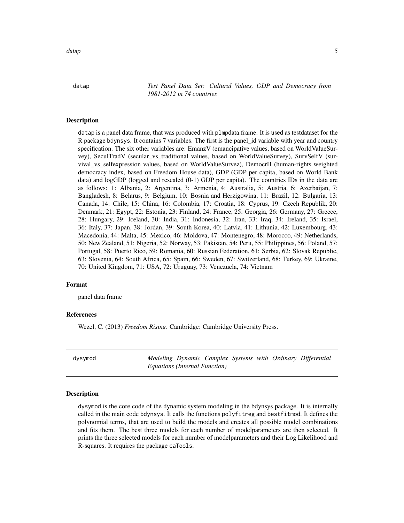<span id="page-4-0"></span>datap 5

datap *Test Panel Data Set: Cultural Values, GDP and Democracy from 1981-2012 in 74 countries*

#### Description

datap is a panel data frame, that was produced with plmpdata.frame. It is used as testdataset for the R package bdynsys. It contains 7 variables. The first is the panel\_id variable with year and country specification. The six other variables are: EmanzV (emancipative values, based on WorldValueSurvey), SeculTradV (secular\_vs\_traditional values, based on WorldValueSurvey), SurvSelfV (survival\_vs\_selfexpression values, based on WorldValueSurvez), DemocrH (human-rights weighted democracy index, based on Freedom House data), GDP (GDP per capita, based on World Bank data) and logGDP (logged and rescaled (0-1) GDP per capita). The countries IDs in the data are as follows: 1: Albania, 2: Argentina, 3: Armenia, 4: Australia, 5: Austria, 6: Azerbaijan, 7: Bangladesh, 8: Belarus, 9: Belgium, 10: Bosnia and Herzigowina, 11: Brazil, 12: Bulgaria, 13: Canada, 14: Chile, 15: China, 16: Colombia, 17: Croatia, 18: Cyprus, 19: Czech Republik, 20: Denmark, 21: Egypt, 22: Estonia, 23: Finland, 24: France, 25: Georgia, 26: Germany, 27: Greece, 28: Hungary, 29: Iceland, 30: India, 31: Indonesia, 32: Iran, 33: Iraq, 34: Ireland, 35: Israel, 36: Italy, 37: Japan, 38: Jordan, 39: South Korea, 40: Latvia, 41: Lithunia, 42: Luxembourg, 43: Macedonia, 44: Malta, 45: Mexico, 46: Moldova, 47: Montenegro, 48: Morocco, 49: Netherlands, 50: New Zealand, 51: Nigeria, 52: Norway, 53: Pakistan, 54: Peru, 55: Philippines, 56: Poland, 57: Portugal, 58: Puerto Rico, 59: Romania, 60: Russian Federation, 61: Serbia, 62: Slovak Republic, 63: Slovenia, 64: South Africa, 65: Spain, 66: Sweden, 67: Switzerland, 68: Turkey, 69: Ukraine, 70: United Kingdom, 71: USA, 72: Uruguay, 73: Venezuela, 74: Vietnam

#### Format

panel data frame

#### References

Wezel, C. (2013) *Freedom Rising*. Cambridge: Cambridge University Press.

dysymod *Modeling Dynamic Complex Systems with Ordinary Differential Equations (Internal Function)*

#### Description

dysymod is the core code of the dynamic system modeling in the bdynsys package. It is internally called in the main code bdynsys. It calls the functions polyfitreg and bestfitmod. It defines the polynomial terms, that are used to build the models and creates all possible model combinations and fits them. The best three models for each number of modelparameters are then selected. It prints the three selected models for each number of modelparameters and their Log Likelihood and R-squares. It requires the package caTools.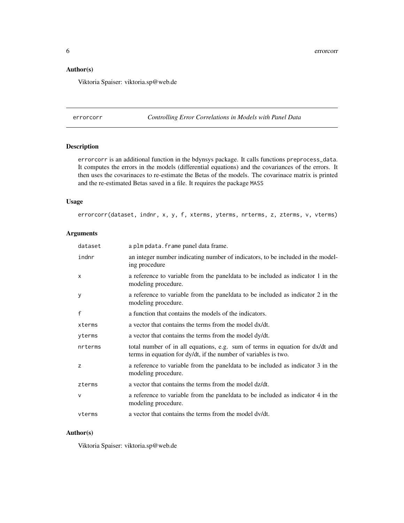#### <span id="page-5-0"></span>Author(s)

Viktoria Spaiser: viktoria.sp@web.de

errorcorr *Controlling Error Correlations in Models with Panel Data*

#### Description

errorcorr is an additional function in the bdynsys package. It calls functions preprocess\_data. It computes the errors in the models (differential equations) and the covariances of the errors. It then uses the covarinaces to re-estimate the Betas of the models. The covarinace matrix is printed and the re-estimated Betas saved in a file. It requires the package MASS

#### Usage

errorcorr(dataset, indnr, x, y, f, xterms, yterms, nrterms, z, zterms, v, vterms)

#### Arguments

| dataset      | a plm pdata. frame panel data frame.                                                                                                             |
|--------------|--------------------------------------------------------------------------------------------------------------------------------------------------|
| indnr        | an integer number indicating number of indicators, to be included in the model-<br>ing procedure                                                 |
| $\times$     | a reference to variable from the paneldata to be included as indicator 1 in the<br>modeling procedure.                                           |
| У            | a reference to variable from the paneldata to be included as indicator 2 in the<br>modeling procedure.                                           |
| $\mathsf{f}$ | a function that contains the models of the indicators.                                                                                           |
| xterms       | a vector that contains the terms from the model dx/dt.                                                                                           |
| yterms       | a vector that contains the terms from the model dy/dt.                                                                                           |
| nrterms      | total number of in all equations, e.g. sum of terms in equation for dx/dt and<br>terms in equation for dy/dt, if the number of variables is two. |
| z            | a reference to variable from the paneldata to be included as indicator 3 in the<br>modeling procedure.                                           |
| zterms       | a vector that contains the terms from the model dz/dt.                                                                                           |
| $\mathsf{V}$ | a reference to variable from the paneleata to be included as indicator 4 in the<br>modeling procedure.                                           |
| vterms       | a vector that contains the terms from the model dv/dt.                                                                                           |

#### Author(s)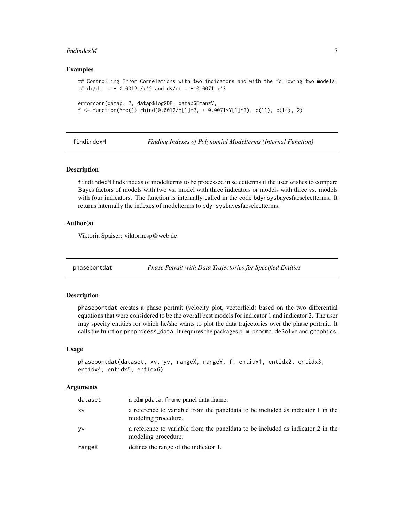#### <span id="page-6-0"></span>findindexM 7

#### Examples

```
## Controlling Error Correlations with two indicators and with the following two models:
## dx/dt = + 0.0012 /x^2 and dy/dt = + 0.0071 x^3
errorcorr(datap, 2, datap$logGDP, datap$EmanzV,
```

```
f <- function(Y=c()) rbind(0.0012/Y[1]^2, + 0.0071*Y[1]^3), c(11), c(14), 2)
```
findindexM *Finding Indexes of Polynomial Modelterms (Internal Function)*

#### Description

findindexM finds indexs of modelterms to be processed in selectterms if the user wishes to compare Bayes factors of models with two vs. model with three indicators or models with three vs. models with four indicators. The function is internally called in the code bdynsysbayesfacselectterms. It returns internally the indexes of modelterms to bdynsysbayesfacselectterms.

#### Author(s)

Viktoria Spaiser: viktoria.sp@web.de

phaseportdat *Phase Potrait with Data Trajectories for Specified Entities*

#### Description

phaseportdat creates a phase portrait (velocity plot, vectorfield) based on the two differential equations that were considered to be the overall best models for indicator 1 and indicator 2. The user may specify entities for which he/she wants to plot the data trajectories over the phase portrait. It calls the function preprocess\_data. It requires the packages plm, pracma, deSolve and graphics.

#### Usage

```
phaseportdat(dataset, xv, yv, rangeX, rangeY, f, entidx1, entidx2, entidx3,
entidx4, entidx5, entidx6)
```
#### Arguments

| dataset   | a plm pdata. frame panel data frame.                                                                   |
|-----------|--------------------------------------------------------------------------------------------------------|
| XV        | a reference to variable from the paneldata to be included as indicator 1 in the<br>modeling procedure. |
| <b>yv</b> | a reference to variable from the paneldata to be included as indicator 2 in the<br>modeling procedure. |
| rangeX    | defines the range of the indicator 1.                                                                  |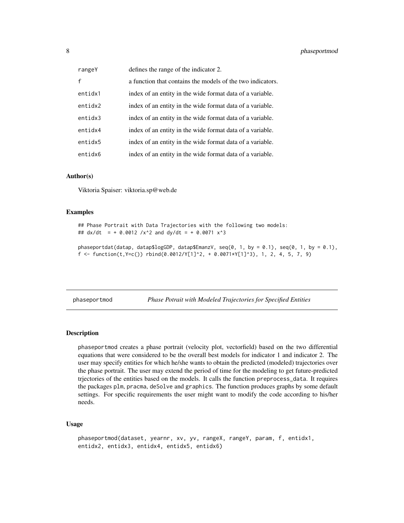<span id="page-7-0"></span>

| rangeY       | defines the range of the indicator 2.                      |
|--------------|------------------------------------------------------------|
| $\mathbf{f}$ | a function that contains the models of the two indicators. |
| entidx1      | index of an entity in the wide format data of a variable.  |
| entidx2      | index of an entity in the wide format data of a variable.  |
| entidx3      | index of an entity in the wide format data of a variable.  |
| entidx4      | index of an entity in the wide format data of a variable.  |
| entidx5      | index of an entity in the wide format data of a variable.  |
| entidx6      | index of an entity in the wide format data of a variable.  |

#### Author(s)

Viktoria Spaiser: viktoria.sp@web.de

#### Examples

```
## Phase Portrait with Data Trajectories with the following two models:
## dx/dt = + 0.0012 /x^2 and dy/dt = + 0.0071 x^3
```

```
phaseportdat(datap, datap$logGDP, datap$EmanzV, seq(0, 1, by = 0.1), seq(0, 1, by = 0.1),
f <- function(t, Y=c()) rbind(0.0012/Y[1]^2, + 0.0071*Y[1]^3), 1, 2, 4, 5, 7, 9)
```
phaseportmod *Phase Potrait with Modeled Trajectories for Specified Entities*

#### Description

phaseportmod creates a phase portrait (velocity plot, vectorfield) based on the two differential equations that were considered to be the overall best models for indicator 1 and indicator 2. The user may specify entities for which he/she wants to obtain the predicted (modeled) trajectories over the phase portrait. The user may extend the period of time for the modeling to get future-predicted trjectories of the entities based on the models. It calls the function preprocess\_data. It requires the packages plm, pracma, deSolve and graphics. The function produces graphs by some default settings. For specific requirements the user might want to modify the code according to his/her needs.

#### Usage

```
phaseportmod(dataset, yearnr, xv, yv, rangeX, rangeY, param, f, entidx1,
entidx2, entidx3, entidx4, entidx5, entidx6)
```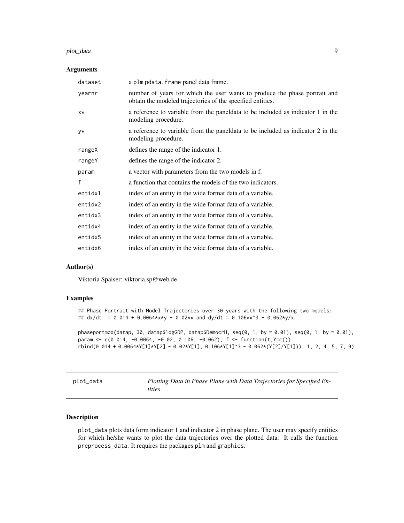#### <span id="page-8-0"></span>plot\_data 9

#### Arguments

| dataset      | a plm pdata. frame panel data frame.                                                                                                     |
|--------------|------------------------------------------------------------------------------------------------------------------------------------------|
| yearnr       | number of years for which the user wants to produce the phase portrait and<br>obtain the modeled trajectories of the specified entities. |
| XV           | a reference to variable from the paneldata to be included as indicator 1 in the<br>modeling procedure.                                   |
| <b>yv</b>    | a reference to variable from the paneldata to be included as indicator 2 in the<br>modeling procedure.                                   |
| rangeX       | defines the range of the indicator 1.                                                                                                    |
| rangeY       | defines the range of the indicator 2.                                                                                                    |
| param        | a vector with parameters from the two models in f.                                                                                       |
| $\mathsf{f}$ | a function that contains the models of the two indicators.                                                                               |
| entidx1      | index of an entity in the wide format data of a variable.                                                                                |
| entidx2      | index of an entity in the wide format data of a variable.                                                                                |
| entidx3      | index of an entity in the wide format data of a variable.                                                                                |
| entidx4      | index of an entity in the wide format data of a variable.                                                                                |
| entidx5      | index of an entity in the wide format data of a variable.                                                                                |
| entidx6      | index of an entity in the wide format data of a variable.                                                                                |
|              |                                                                                                                                          |

#### Author(s)

Viktoria Spaiser: viktoria.sp@web.de

#### Examples

```
## Phase Portrait with Model Trajectories over 30 years with the following two models:
## dx/dt = 0.014 + 0.0064*x*y - 0.02*x and dy/dt = 0.106*x^3 - 0.062*y/x
```

```
phaseportmod(datap, 30, datap$logGDP, datap$DemocrH, seq(0, 1, by = 0.01), seq(0, 1, by = 0.01),
param <- c(0.014, -0.0064, -0.02, 0.106, -0.062), f \le function(t,Y=c())
rbind(0.014 + 0.0064*Y[1]*Y[2] - 0.02*Y[1], 0.106*Y[1]^3 - 0.062*(Y[2]/Y[1])), 1, 2, 4, 5, 7, 9)
```

| plot_data |  |
|-----------|--|
|-----------|--|

Plotting Data in Phase Plane with Data Trajectories for Specified En*tities*

#### Description

plot\_data plots data form indicator 1 and indicator 2 in phase plane. The user may specify entities for which he/she wants to plot the data trajectories over the plotted data. It calls the function preprocess\_data. It requires the packages plm and graphics.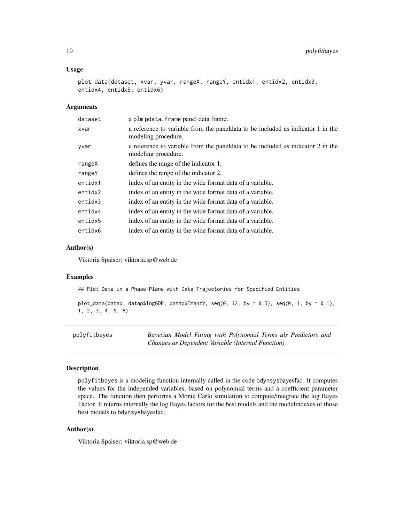#### <span id="page-9-0"></span>Usage

```
plot_data(dataset, xvar, yvar, rangeX, rangeY, entidx1, entidx2, entidx3,
entidx4, entidx5, entidx6)
```
#### Arguments

| dataset | a plm pdata. frame panel data frame.                                                                   |
|---------|--------------------------------------------------------------------------------------------------------|
| xvar    | a reference to variable from the paneldata to be included as indicator 1 in the<br>modeling procedure. |
| yvar    | a reference to variable from the paneldata to be included as indicator 2 in the<br>modeling procedure. |
| rangeX  | defines the range of the indicator 1.                                                                  |
| rangeY  | defines the range of the indicator 2.                                                                  |
| entidx1 | index of an entity in the wide format data of a variable.                                              |
| entidx2 | index of an entity in the wide format data of a variable.                                              |
| entidx3 | index of an entity in the wide format data of a variable.                                              |
| entidx4 | index of an entity in the wide format data of a variable.                                              |
| entidx5 | index of an entity in the wide format data of a variable.                                              |
| entidx6 | index of an entity in the wide format data of a variable.                                              |

#### Author(s)

Viktoria Spaiser: viktoria.sp@web.de

#### Examples

## Plot Data in a Phase Plane with Data Trajectories for Specified Entities

```
plot_data(datap, datap$logGDP, datap$EmanzV, seq(0, 12, by = 0.5), seq(0, 1, by = 0.1),
1, 2, 3, 4, 5, 6)
```

| polyfitbayes | Bayesian Model Fitting with Polynomial Terms als Predictors and |
|--------------|-----------------------------------------------------------------|
|              | Changes as Dependent Variable (Internal Function)               |

#### Description

polyfitbayes is a modeling function internally called in the code bdynsysbayesfac. It computes the values for the independed variables, based on polynomial terms and a coefficient parameter space. The function then performs a Monte Carlo simulation to compute/integrate the log Bayes Factor. It returns internally the log Bayes factors for the best models and the modelindexes of those best models to bdynsysbayesfac.

#### Author(s)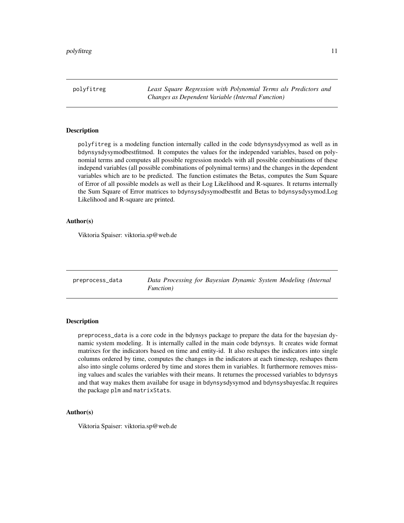<span id="page-10-0"></span>polyfitreg *Least Square Regression with Polynomial Terms als Predictors and Changes as Dependent Variable (Internal Function)*

#### Description

polyfitreg is a modeling function internally called in the code bdynsysdysymod as well as in bdynsysdysymodbestfitmod. It computes the values for the independed variables, based on polynomial terms and computes all possible regression models with all possible combinations of these independ variables (all possible combinations of polynimal terms) and the changes in the dependent variables which are to be predicted. The function estimates the Betas, computes the Sum Square of Error of all possible models as well as their Log Likelihood and R-squares. It returns internally the Sum Square of Error matrices to bdynsysdysymodbestfit and Betas to bdynsysdysymod.Log Likelihood and R-square are printed.

#### Author(s)

Viktoria Spaiser: viktoria.sp@web.de

preprocess\_data *Data Processing for Bayesian Dynamic System Modeling (Internal Function)*

#### Description

preprocess\_data is a core code in the bdynsys package to prepare the data for the bayesian dynamic system modeling. It is internally called in the main code bdynsys. It creates wide format matrixes for the indicators based on time and entity-id. It also reshapes the indicators into single columns ordered by time, computes the changes in the indicators at each timestep, reshapes them also into single colums ordered by time and stores them in variables. It furthermore removes missing values and scales the variables with their means. It returnes the processed variables to bdynsys and that way makes them availabe for usage in bdynsysdysymod and bdynsysbayesfac.It requires the package plm and matrixStats.

#### Author(s)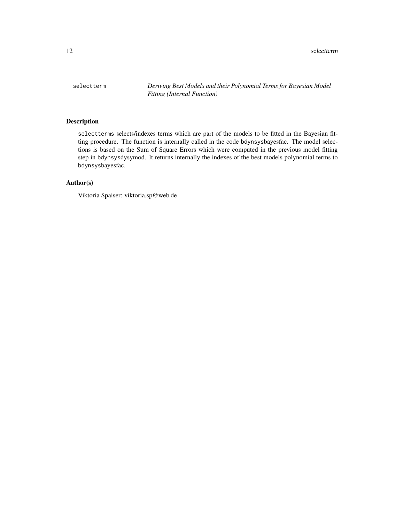<span id="page-11-0"></span>selectterm *Deriving Best Models and their Polynomial Terms for Bayesian Model Fitting (Internal Function)*

#### Description

selectterms selects/indexes terms which are part of the models to be fitted in the Bayesian fitting procedure. The function is internally called in the code bdynsysbayesfac. The model selections is based on the Sum of Square Errors which were computed in the previous model fitting step in bdynsysdysymod. It returns internally the indexes of the best models polynomial terms to bdynsysbayesfac.

#### Author(s)